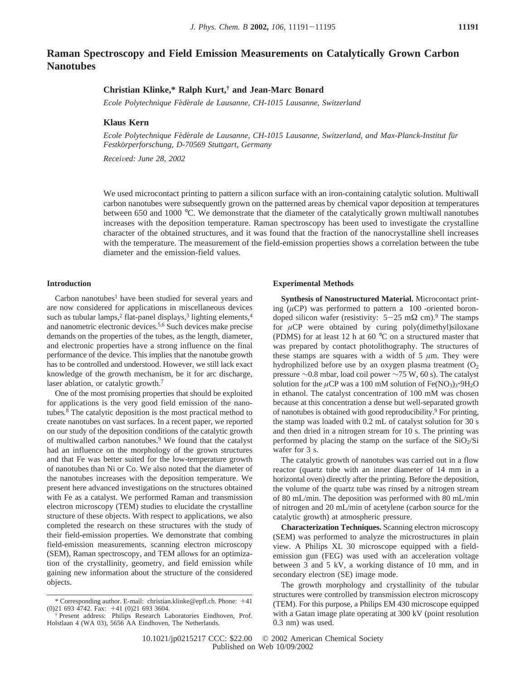# **Raman Spectroscopy and Field Emission Measurements on Catalytically Grown Carbon Nanotubes**

## **Christian Klinke,\* Ralph Kurt,† and Jean-Marc Bonard**

*Ecole Polytechnique Fe*´*de*´*rale de Lausanne, CH-1015 Lausanne, Switzerland*

#### **Klaus Kern**

*Ecole Polytechnique Fe*´*de*´*rale de Lausanne, CH-1015 Lausanne, Switzerland, and Max-Planck-Institut fu*¨*r Festko*¨*rperforschung, D-70569 Stuttgart, Germany*

*Recei*V*ed: June 28, 2002*

We used microcontact printing to pattern a silicon surface with an iron-containing catalytic solution. Multiwall carbon nanotubes were subsequently grown on the patterned areas by chemical vapor deposition at temperatures between 650 and 1000 °C. We demonstrate that the diameter of the catalytically grown multiwall nanotubes increases with the deposition temperature. Raman spectroscopy has been used to investigate the crystalline character of the obtained structures, and it was found that the fraction of the nanocrystalline shell increases with the temperature. The measurement of the field-emission properties shows a correlation between the tube diameter and the emission-field values.

#### **Introduction**

Carbon nanotubes<sup>1</sup> have been studied for several years and are now considered for applications in miscellaneous devices such as tubular lamps,<sup>2</sup> flat-panel displays,<sup>3</sup> lighting elements,<sup>4</sup> and nanometric electronic devices.5,6 Such devices make precise demands on the properties of the tubes, as the length, diameter, and electronic properties have a strong influence on the final performance of the device. This implies that the nanotube growth has to be controlled and understood. However, we still lack exact knowledge of the growth mechanism, be it for arc discharge, laser ablation, or catalytic growth.<sup>7</sup>

One of the most promising properties that should be exploited for applications is the very good field emission of the nanotubes.8 The catalytic deposition is the most practical method to create nanotubes on vast surfaces. In a recent paper, we reported on our study of the deposition conditions of the catalytic growth of multiwalled carbon nanotubes.9 We found that the catalyst had an influence on the morphology of the grown structures and that Fe was better suited for the low-temperature growth of nanotubes than Ni or Co. We also noted that the diameter of the nanotubes increases with the deposition temperature. We present here advanced investigations on the structures obtained with Fe as a catalyst. We performed Raman and transmission electron microscopy (TEM) studies to elucidate the crystalline structure of these objects. With respect to applications, we also completed the research on these structures with the study of their field-emission properties. We demonstrate that combing field-emission measurements, scanning electron microscopy (SEM), Raman spectroscopy, and TEM allows for an optimization of the crystallinity, geometry, and field emission while gaining new information about the structure of the considered objects.

#### **Experimental Methods**

**Synthesis of Nanostructured Material.** Microcontact printing ( $\mu$ CP) was performed to pattern a  $\langle 100 \rangle$ -oriented borondoped silicon wafer (resistivity:  $5-25$  m $\Omega$  cm).<sup>9</sup> The stamps for *µ*CP were obtained by curing poly(dimethyl)siloxane (PDMS) for at least 12 h at 60 °C on a structured master that was prepared by contact photolithography. The structures of these stamps are squares with a width of  $5 \mu m$ . They were hydrophilized before use by an oxygen plasma treatment  $(O<sub>2</sub>)$ pressure ∼0.8 mbar, load coil power ∼75 W, 60 s). The catalyst solution for the  $\mu$ CP was a 100 mM solution of Fe(NO<sub>3</sub>)<sub>3</sub>·9H<sub>2</sub>O in ethanol. The catalyst concentration of 100 mM was chosen because at this concentration a dense but well-separated growth of nanotubes is obtained with good reproducibility.9 For printing, the stamp was loaded with 0.2 mL of catalyst solution for 30 s and then dried in a nitrogen stream for 10 s. The printing was performed by placing the stamp on the surface of the  $SiO<sub>2</sub>/Si$ wafer for 3 s.

The catalytic growth of nanotubes was carried out in a flow reactor (quartz tube with an inner diameter of 14 mm in a horizontal oven) directly after the printing. Before the deposition, the volume of the quartz tube was rinsed by a nitrogen stream of 80 mL/min. The deposition was performed with 80 mL/min of nitrogen and 20 mL/min of acetylene (carbon source for the catalytic growth) at atmospheric pressure.

**Characterization Techniques.** Scanning electron microscopy (SEM) was performed to analyze the microstructures in plain view. A Philips XL 30 microscope equipped with a fieldemission gun (FEG) was used with an acceleration voltage between 3 and 5 kV, a working distance of 10 mm, and in secondary electron (SE) image mode.

The growth morphology and crystallinity of the tubular structures were controlled by transmission electron microscopy (TEM). For this purpose, a Philips EM 430 microscope equipped with a Gatan image plate operating at 300 kV (point resolution 0.3 nm) was used.

<sup>\*</sup> Corresponding author. E-mail: christian.klinke@epfl.ch. Phone:  $+41$  (0)21 693 3604. (0)21 693 4742. Fax: +41 (0)21 693 3604. † Present address: Philips Research Laboratories Eindhoven, Prof.

Holstlaan 4 (WA 03), 5656 AA Eindhoven, The Netherlands.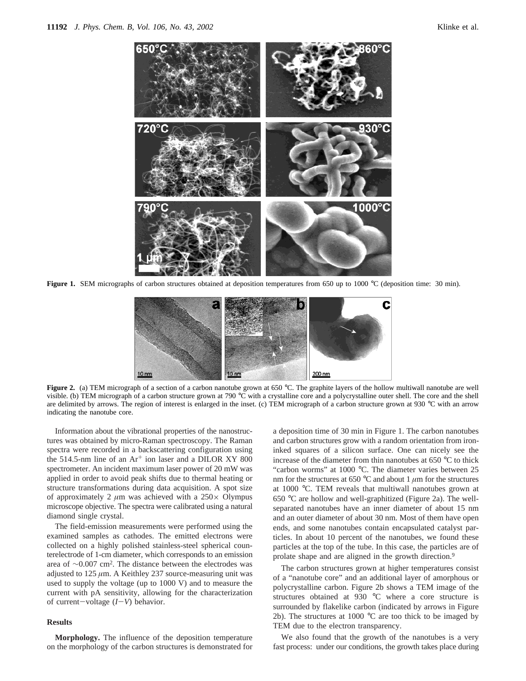

**Figure 1.** SEM micrographs of carbon structures obtained at deposition temperatures from 650 up to 1000 °C (deposition time: 30 min).



Figure 2. (a) TEM micrograph of a section of a carbon nanotube grown at 650 °C. The graphite layers of the hollow multiwall nanotube are well visible. (b) TEM micrograph of a carbon structure grown at 790 °C with a crystalline core and a polycrystalline outer shell. The core and the shell are delimited by arrows. The region of interest is enlarged in the inset. (c) TEM micrograph of a carbon structure grown at 930  $\degree$ C with an arrow indicating the nanotube core.

Information about the vibrational properties of the nanostructures was obtained by micro-Raman spectroscopy. The Raman spectra were recorded in a backscattering configuration using the 514.5-nm line of an Ar<sup>+</sup> ion laser and a DILOR XY 800 spectrometer. An incident maximum laser power of 20 mW was applied in order to avoid peak shifts due to thermal heating or structure transformations during data acquisition. A spot size of approximately 2  $\mu$ m was achieved with a 250 $\times$  Olympus microscope objective. The spectra were calibrated using a natural diamond single crystal.

The field-emission measurements were performed using the examined samples as cathodes. The emitted electrons were collected on a highly polished stainless-steel spherical counterelectrode of 1-cm diameter, which corresponds to an emission area of ∼0.007 cm2. The distance between the electrodes was adjusted to 125 *µ*m. A Keithley 237 source-measuring unit was used to supply the voltage (up to 1000 V) and to measure the current with pA sensitivity, allowing for the characterization of current-voltage (*I*-*V*) behavior.

### **Results**

**Morphology.** The influence of the deposition temperature on the morphology of the carbon structures is demonstrated for

a deposition time of 30 min in Figure 1. The carbon nanotubes and carbon structures grow with a random orientation from ironinked squares of a silicon surface. One can nicely see the increase of the diameter from thin nanotubes at 650 °C to thick "carbon worms" at 1000 °C. The diameter varies between 25 nm for the structures at 650  $\degree$ C and about 1  $\mu$ m for the structures at 1000 °C. TEM reveals that multiwall nanotubes grown at 650 °C are hollow and well-graphitized (Figure 2a). The wellseparated nanotubes have an inner diameter of about 15 nm and an outer diameter of about 30 nm. Most of them have open ends, and some nanotubes contain encapsulated catalyst particles. In about 10 percent of the nanotubes, we found these particles at the top of the tube. In this case, the particles are of prolate shape and are aligned in the growth direction.9

The carbon structures grown at higher temperatures consist of a "nanotube core" and an additional layer of amorphous or polycrystalline carbon. Figure 2b shows a TEM image of the structures obtained at 930 °C where a core structure is surrounded by flakelike carbon (indicated by arrows in Figure 2b). The structures at 1000  $^{\circ}$ C are too thick to be imaged by TEM due to the electron transparency.

We also found that the growth of the nanotubes is a very fast process: under our conditions, the growth takes place during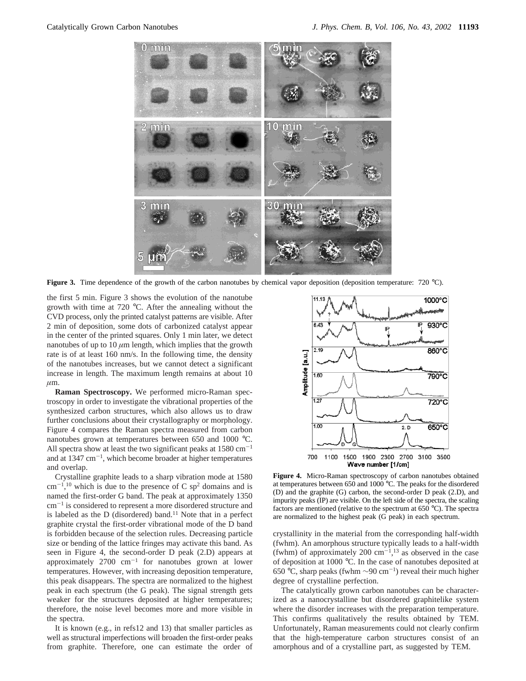

**Figure 3.** Time dependence of the growth of the carbon nanotubes by chemical vapor deposition (deposition temperature: 720 °C).

the first 5 min. Figure 3 shows the evolution of the nanotube growth with time at 720 °C. After the annealing without the CVD process, only the printed catalyst patterns are visible. After 2 min of deposition, some dots of carbonized catalyst appear in the center of the printed squares. Only 1 min later, we detect nanotubes of up to  $10 \mu m$  length, which implies that the growth rate is of at least 160 nm/s. In the following time, the density of the nanotubes increases, but we cannot detect a significant increase in length. The maximum length remains at about 10  $\mu$ m.

**Raman Spectroscopy.** We performed micro-Raman spectroscopy in order to investigate the vibrational properties of the synthesized carbon structures, which also allows us to draw further conclusions about their crystallography or morphology. Figure 4 compares the Raman spectra measured from carbon nanotubes grown at temperatures between 650 and 1000 °C. All spectra show at least the two significant peaks at  $1580 \text{ cm}^{-1}$ and at  $1347 \text{ cm}^{-1}$ , which become broader at higher temperatures and overlap.

Crystalline graphite leads to a sharp vibration mode at 1580  $\text{cm}^{-1}$ ,<sup>10</sup> which is due to the presence of C sp<sup>2</sup> domains and is named the first-order G band. The peak at approximately 1350 cm-<sup>1</sup> is considered to represent a more disordered structure and is labeled as the  $D$  (disordered) band.<sup>11</sup> Note that in a perfect graphite crystal the first-order vibrational mode of the D band is forbidden because of the selection rules. Decreasing particle size or bending of the lattice fringes may activate this band. As seen in Figure 4, the second-order D peak (2.D) appears at approximately  $2700 \text{ cm}^{-1}$  for nanotubes grown at lower temperatures. However, with increasing deposition temperature, this peak disappears. The spectra are normalized to the highest peak in each spectrum (the G peak). The signal strength gets weaker for the structures deposited at higher temperatures; therefore, the noise level becomes more and more visible in the spectra.

It is known (e.g., in refs12 and 13) that smaller particles as well as structural imperfections will broaden the first-order peaks from graphite. Therefore, one can estimate the order of



**Figure 4.** Micro-Raman spectroscopy of carbon nanotubes obtained at temperatures between  $650$  and  $1000^{\circ}$ °C. The peaks for the disordered (D) and the graphite (G) carbon, the second-order D peak (2.D), and impurity peaks (IP) are visible. On the left side of the spectra, the scaling factors are mentioned (relative to the spectrum at  $650^{\circ}$ C). The spectra are normalized to the highest peak (G peak) in each spectrum.

crystallinity in the material from the corresponding half-width (fwhm). An amorphous structure typically leads to a half-width (fwhm) of approximately 200  $\text{cm}^{-1}$ ,<sup>13</sup> as observed in the case of deposition at 1000 °C. In the case of nanotubes deposited at 650 °C, sharp peaks (fwhm ∼90 cm-1) reveal their much higher degree of crystalline perfection.

The catalytically grown carbon nanotubes can be characterized as a nanocrystalline but disordered graphitelike system where the disorder increases with the preparation temperature. This confirms qualitatively the results obtained by TEM. Unfortunately, Raman measurements could not clearly confirm that the high-temperature carbon structures consist of an amorphous and of a crystalline part, as suggested by TEM.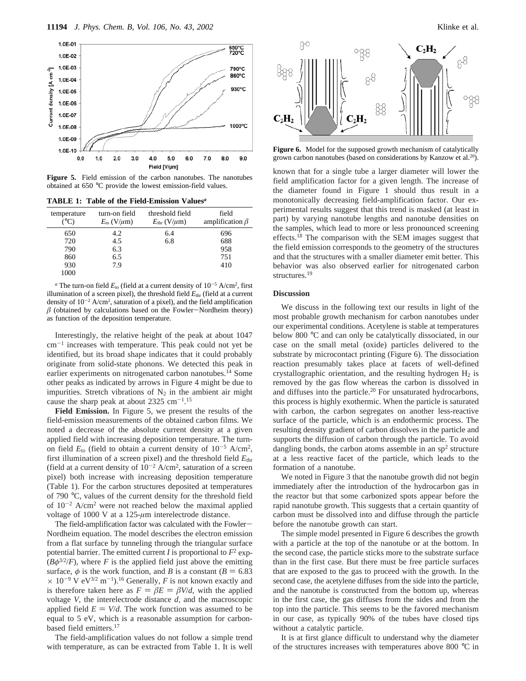

**Figure 5.** Field emission of the carbon nanotubes. The nanotubes obtained at 650 °C provide the lowest emission-field values.

|  |  |  | <b>TABLE 1: Table of the Field-Emission Values</b> <sup>a</sup> |  |
|--|--|--|-----------------------------------------------------------------|--|
|--|--|--|-----------------------------------------------------------------|--|

| temperature<br>(°C) | turn-on field<br>$E_{\text{to}}$ (V/ $\mu$ m) | threshold field<br>$E_{\text{thr}}$ (V/ $\mu$ m) | field<br>amplification $\beta$ |
|---------------------|-----------------------------------------------|--------------------------------------------------|--------------------------------|
| 650                 | 4.2                                           | 6.4                                              | 696                            |
| 720                 | 4.5                                           | 6.8                                              | 688                            |
| 790                 | 6.3                                           |                                                  | 958                            |
| 860                 | 6.5                                           |                                                  | 751                            |
| 930                 | 7.9                                           |                                                  | 410                            |
| 1000                |                                               |                                                  |                                |

*a* The turn-on field  $E_{\text{to}}$  (field at a current density of  $10^{-5}$  A/cm<sup>2</sup>, first illumination of a screen pixel), the threshold field  $E_{\text{thr}}$  (field at a current density of  $10^{-2}$  A/cm<sup>2</sup>, saturation of a pixel), and the field amplification  $\beta$  (obtained by calculations based on the Fowler-Nordheim theory) as function of the deposition temperature.

Interestingly, the relative height of the peak at about 1047  $cm^{-1}$  increases with temperature. This peak could not yet be identified, but its broad shape indicates that it could probably originate from solid-state phonons. We detected this peak in earlier experiments on nitrogenated carbon nanotubes.<sup>14</sup> Some other peaks as indicated by arrows in Figure 4 might be due to impurities. Stretch vibrations of  $N_2$  in the ambient air might cause the sharp peak at about  $2325 \text{ cm}^{-1}$ .<sup>15</sup>

**Field Emission.** In Figure 5, we present the results of the field-emission measurements of the obtained carbon films. We noted a decrease of the absolute current density at a given applied field with increasing deposition temperature. The turnon field  $E_{\text{to}}$  (field to obtain a current density of  $10^{-5}$  A/cm<sup>2</sup>, first illumination of a screen pixel) and the threshold field *E*thr (field at a current density of  $10^{-2}$  A/cm<sup>2</sup>, saturation of a screen pixel) both increase with increasing deposition temperature (Table 1). For the carbon structures deposited at temperatures of 790 °C, values of the current density for the threshold field of  $10^{-2}$  A/cm<sup>2</sup> were not reached below the maximal applied voltage of 1000 V at a 125-*µ*m interelectrode distance.

The field-amplification factor was calculated with the Fowler-Nordheim equation. The model describes the electron emission from a flat surface by tunneling through the triangular surface potential barrier. The emitted current *I* is proportional to  $F^2$  exp- $(B\phi^{3/2}/F)$ , where *F* is the applied field just above the emitting surface,  $\phi$  is the work function, and *B* is a constant ( $B = 6.83$ )  $\times$  10<sup>-9</sup> V eV<sup>3/2</sup> m<sup>-1</sup>).<sup>16</sup> Generally, *F* is not known exactly and is therefore taken here as  $F = \beta E = \beta V/d$ , with the applied voltage *V*, the interelectrode distance *d,* and the macroscopic applied field  $E = V/d$ . The work function was assumed to be equal to 5 eV, which is a reasonable assumption for carbonbased field emitters.17

The field-amplification values do not follow a simple trend with temperature, as can be extracted from Table 1. It is well



**Figure 6.** Model for the supposed growth mechanism of catalytically grown carbon nanotubes (based on considerations by Kanzow et al.20).

known that for a single tube a larger diameter will lower the field amplification factor for a given length. The increase of the diameter found in Figure 1 should thus result in a monotonically decreasing field-amplification factor. Our experimental results suggest that this trend is masked (at least in part) by varying nanotube lengths and nanotube densities on the samples, which lead to more or less pronounced screening effects.18 The comparison with the SEM images suggest that the field emission corresponds to the geometry of the structures and that the structures with a smaller diameter emit better. This behavior was also observed earlier for nitrogenated carbon structures.<sup>19</sup>

## **Discussion**

We discuss in the following text our results in light of the most probable growth mechanism for carbon nanotubes under our experimental conditions. Acetylene is stable at temperatures below 800 °C and can only be catalytically dissociated, in our case on the small metal (oxide) particles delivered to the substrate by microcontact printing (Figure 6). The dissociation reaction presumably takes place at facets of well-defined crystallographic orientation, and the resulting hydrogen  $H_2$  is removed by the gas flow whereas the carbon is dissolved in and diffuses into the particle.<sup>20</sup> For unsaturated hydrocarbons, this process is highly exothermic. When the particle is saturated with carbon, the carbon segregates on another less-reactive surface of the particle, which is an endothermic process. The resulting density gradient of carbon dissolves in the particle and supports the diffusion of carbon through the particle. To avoid dangling bonds, the carbon atoms assemble in an  $sp<sup>2</sup>$  structure at a less reactive facet of the particle, which leads to the formation of a nanotube.

We noted in Figure 3 that the nanotube growth did not begin immediately after the introduction of the hydrocarbon gas in the reactor but that some carbonized spots appear before the rapid nanotube growth. This suggests that a certain quantity of carbon must be dissolved into and diffuse through the particle before the nanotube growth can start.

The simple model presented in Figure 6 describes the growth with a particle at the top of the nanotube or at the bottom. In the second case, the particle sticks more to the substrate surface than in the first case. But there must be free particle surfaces that are exposed to the gas to proceed with the growth. In the second case, the acetylene diffuses from the side into the particle, and the nanotube is constructed from the bottom up, whereas in the first case, the gas diffuses from the sides and from the top into the particle. This seems to be the favored mechanism in our case, as typically 90% of the tubes have closed tips without a catalytic particle.

It is at first glance difficult to understand why the diameter of the structures increases with temperatures above 800 °C in